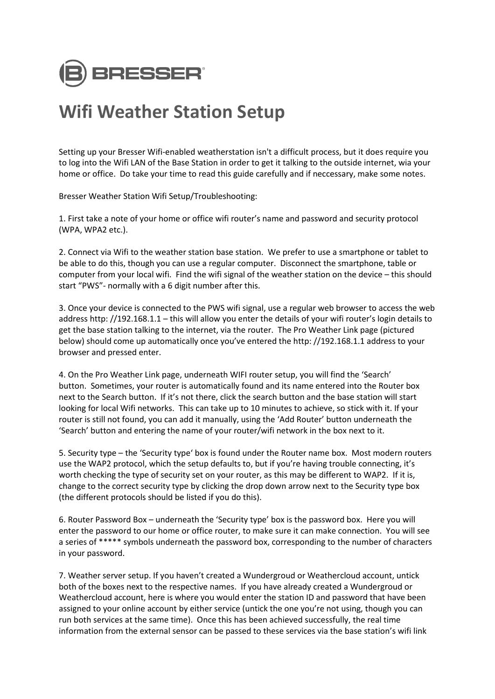

## **Wifi Weather Station Setup**

Setting up your Bresser Wifi-enabled weatherstation isn't a difficult process, but it does require you to log into the Wifi LAN of the Base Station in order to get it talking to the outside internet, wia your home or office. Do take your time to read this guide carefully and if neccessary, make some notes.

Bresser Weather Station Wifi Setup/Troubleshooting:

1. First take a note of your home or office wifi router's name and password and security protocol (WPA, WPA2 etc.).

2. Connect via Wifi to the weather station base station. We prefer to use a smartphone or tablet to be able to do this, though you can use a regular computer. Disconnect the smartphone, table or computer from your local wifi. Find the wifi signal of the weather station on the device – this should start "PWS"- normally with a 6 digit number after this.

3. Once your device is connected to the PWS wifi signal, use a regular web browser to access the web address http: //192.168.1.1 – this will allow you enter the details of your wifi router's login details to get the base station talking to the internet, via the router. The Pro Weather Link page (pictured below) should come up automatically once you've entered the http: //192.168.1.1 address to your browser and pressed enter.

4. On the Pro Weather Link page, underneath WIFI router setup, you will find the 'Search' button. Sometimes, your router is automatically found and its name entered into the Router box next to the Search button. If it's not there, click the search button and the base station will start looking for local Wifi networks. This can take up to 10 minutes to achieve, so stick with it. If your router is still not found, you can add it manually, using the 'Add Router' button underneath the 'Search' button and entering the name of your router/wifi network in the box next to it.

5. Security type – the 'Security type' box is found under the Router name box. Most modern routers use the WAP2 protocol, which the setup defaults to, but if you're having trouble connecting, it's worth checking the type of security set on your router, as this may be different to WAP2. If it is, change to the correct security type by clicking the drop down arrow next to the Security type box (the different protocols should be listed if you do this).

6. Router Password Box – underneath the 'Security type' box is the password box. Here you will enter the password to our home or office router, to make sure it can make connection. You will see a series of \*\*\*\*\* symbols underneath the password box, corresponding to the number of characters in your password.

7. Weather server setup. If you haven't created a Wundergroud or Weathercloud account, untick both of the boxes next to the respective names. If you have already created a Wundergroud or Weathercloud account, here is where you would enter the station ID and password that have been assigned to your online account by either service (untick the one you're not using, though you can run both services at the same time). Once this has been achieved successfully, the real time information from the external sensor can be passed to these services via the base station's wifi link